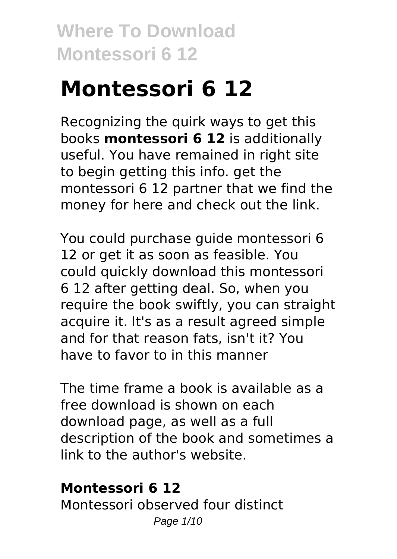# **Montessori 6 12**

Recognizing the quirk ways to get this books **montessori 6 12** is additionally useful. You have remained in right site to begin getting this info. get the montessori 6 12 partner that we find the money for here and check out the link.

You could purchase guide montessori 6 12 or get it as soon as feasible. You could quickly download this montessori 6 12 after getting deal. So, when you require the book swiftly, you can straight acquire it. It's as a result agreed simple and for that reason fats, isn't it? You have to favor to in this manner

The time frame a book is available as a free download is shown on each download page, as well as a full description of the book and sometimes a link to the author's website.

### **Montessori 6 12**

Montessori observed four distinct Page 1/10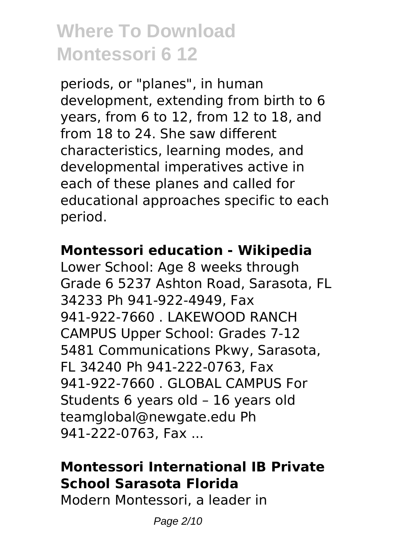periods, or "planes", in human development, extending from birth to 6 years, from 6 to 12, from 12 to 18, and from 18 to 24. She saw different characteristics, learning modes, and developmental imperatives active in each of these planes and called for educational approaches specific to each period.

#### **Montessori education - Wikipedia**

Lower School: Age 8 weeks through Grade 6 5237 Ashton Road, Sarasota, FL 34233 Ph 941-922-4949, Fax 941-922-7660 . LAKEWOOD RANCH CAMPUS Upper School: Grades 7-12 5481 Communications Pkwy, Sarasota, FL 34240 Ph 941-222-0763, Fax 941-922-7660 . GLOBAL CAMPUS For Students 6 years old – 16 years old teamglobal@newgate.edu Ph 941-222-0763, Fax ...

### **Montessori International IB Private School Sarasota Florida**

Modern Montessori, a leader in

Page 2/10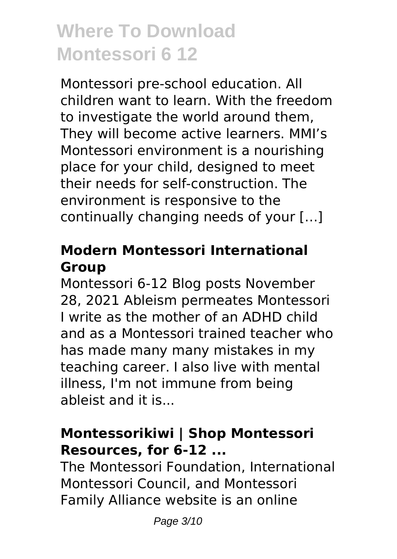Montessori pre-school education. All children want to learn. With the freedom to investigate the world around them, They will become active learners. MMI's Montessori environment is a nourishing place for your child, designed to meet their needs for self-construction. The environment is responsive to the continually changing needs of your […]

### **Modern Montessori International Group**

Montessori 6-12 Blog posts November 28, 2021 Ableism permeates Montessori I write as the mother of an ADHD child and as a Montessori trained teacher who has made many many mistakes in my teaching career. I also live with mental illness, I'm not immune from being ableist and it is...

### **Montessorikiwi | Shop Montessori Resources, for 6-12 ...**

The Montessori Foundation, International Montessori Council, and Montessori Family Alliance website is an online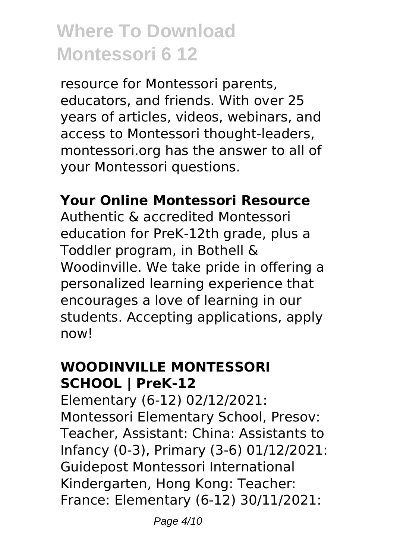resource for Montessori parents, educators, and friends. With over 25 years of articles, videos, webinars, and access to Montessori thought-leaders, montessori.org has the answer to all of your Montessori questions.

### **Your Online Montessori Resource**

Authentic & accredited Montessori education for PreK-12th grade, plus a Toddler program, in Bothell & Woodinville. We take pride in offering a personalized learning experience that encourages a love of learning in our students. Accepting applications, apply now!

#### **WOODINVILLE MONTESSORI SCHOOL | PreK-12**

Elementary (6-12) 02/12/2021: Montessori Elementary School, Presov: Teacher, Assistant: China: Assistants to Infancy (0-3), Primary (3-6) 01/12/2021: Guidepost Montessori International Kindergarten, Hong Kong: Teacher: France: Elementary (6-12) 30/11/2021: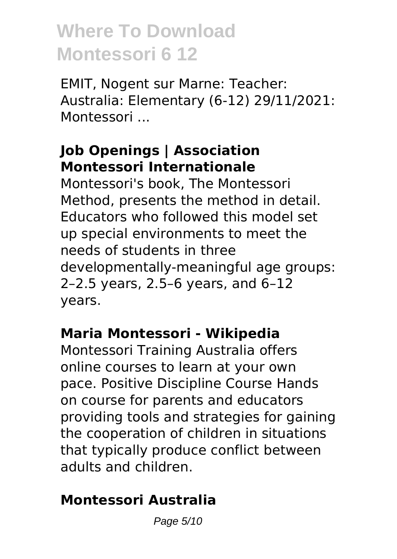EMIT, Nogent sur Marne: Teacher: Australia: Elementary (6-12) 29/11/2021: Montessori ...

### **Job Openings | Association Montessori Internationale**

Montessori's book, The Montessori Method, presents the method in detail. Educators who followed this model set up special environments to meet the needs of students in three developmentally-meaningful age groups: 2–2.5 years, 2.5–6 years, and 6–12 years.

### **Maria Montessori - Wikipedia**

Montessori Training Australia offers online courses to learn at your own pace. Positive Discipline Course Hands on course for parents and educators providing tools and strategies for gaining the cooperation of children in situations that typically produce conflict between adults and children.

### **Montessori Australia**

Page 5/10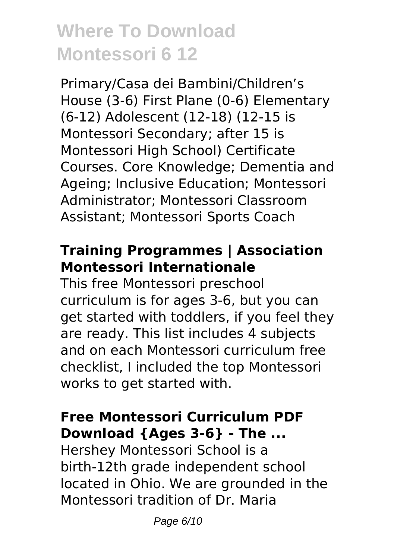Primary/Casa dei Bambini/Children's House (3-6) First Plane (0-6) Elementary (6-12) Adolescent (12-18) (12-15 is Montessori Secondary; after 15 is Montessori High School) Certificate Courses. Core Knowledge; Dementia and Ageing; Inclusive Education; Montessori Administrator; Montessori Classroom Assistant; Montessori Sports Coach

### **Training Programmes | Association Montessori Internationale**

This free Montessori preschool curriculum is for ages 3-6, but you can get started with toddlers, if you feel they are ready. This list includes 4 subjects and on each Montessori curriculum free checklist, I included the top Montessori works to get started with.

### **Free Montessori Curriculum PDF Download {Ages 3-6} - The ...**

Hershey Montessori School is a birth-12th grade independent school located in Ohio. We are grounded in the Montessori tradition of Dr. Maria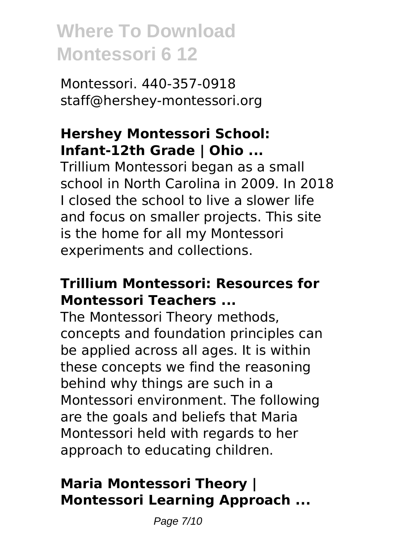Montessori. 440-357-0918 staff@hershey-montessori.org

### **Hershey Montessori School: Infant-12th Grade | Ohio ...**

Trillium Montessori began as a small school in North Carolina in 2009. In 2018 I closed the school to live a slower life and focus on smaller projects. This site is the home for all my Montessori experiments and collections.

#### **Trillium Montessori: Resources for Montessori Teachers ...**

The Montessori Theory methods, concepts and foundation principles can be applied across all ages. It is within these concepts we find the reasoning behind why things are such in a Montessori environment. The following are the goals and beliefs that Maria Montessori held with regards to her approach to educating children.

### **Maria Montessori Theory | Montessori Learning Approach ...**

Page 7/10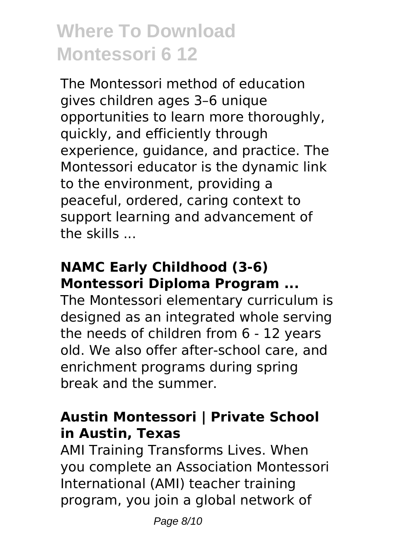The Montessori method of education gives children ages 3–6 unique opportunities to learn more thoroughly, quickly, and efficiently through experience, guidance, and practice. The Montessori educator is the dynamic link to the environment, providing a peaceful, ordered, caring context to support learning and advancement of the skills ...

### **NAMC Early Childhood (3-6) Montessori Diploma Program ...**

The Montessori elementary curriculum is designed as an integrated whole serving the needs of children from 6 - 12 years old. We also offer after-school care, and enrichment programs during spring break and the summer.

### **Austin Montessori | Private School in Austin, Texas**

AMI Training Transforms Lives. When you complete an Association Montessori International (AMI) teacher training program, you join a global network of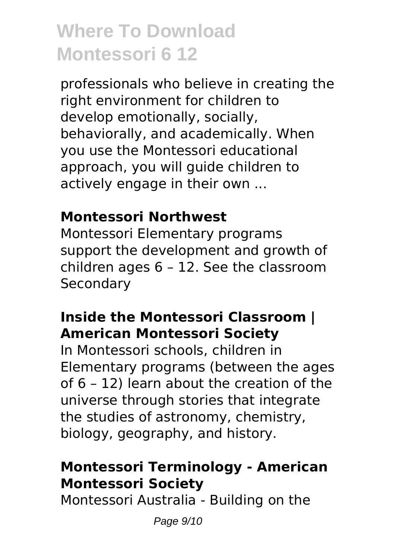professionals who believe in creating the right environment for children to develop emotionally, socially, behaviorally, and academically. When you use the Montessori educational approach, you will guide children to actively engage in their own ...

### **Montessori Northwest**

Montessori Elementary programs support the development and growth of children ages 6 – 12. See the classroom Secondary

### **Inside the Montessori Classroom | American Montessori Society**

In Montessori schools, children in Elementary programs (between the ages of 6 – 12) learn about the creation of the universe through stories that integrate the studies of astronomy, chemistry, biology, geography, and history.

### **Montessori Terminology - American Montessori Society**

Montessori Australia - Building on the

Page 9/10